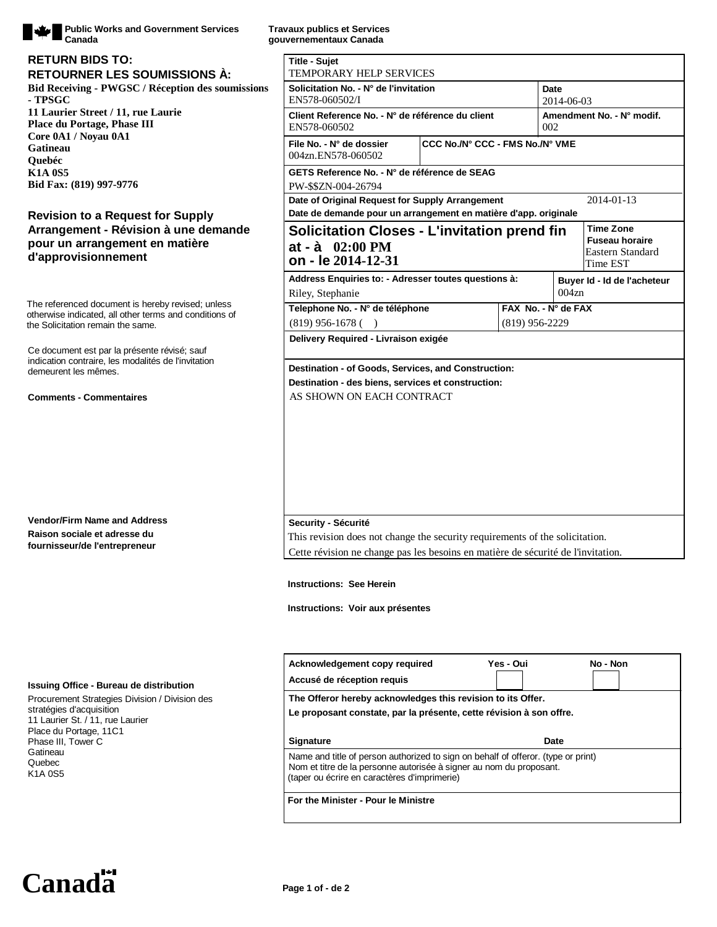

**Public Works and Government Services Canada**

## **Bid Receiving - PWGSC / Réception des soumissions - TPSGC 11 Laurier Street / 11, rue Laurie Place du Portage, Phase III Core 0A1 / Noyau 0A1 Gatineau Quebéc K1A 0S5 Bid Fax: (819) 997-9776 RETOURNER LES SOUMISSIONS À: RETURN BIDS TO:**

# **Revision to a Request for Supply Arrangement - Révision à une demande pour un arrangement en matière d'approvisionnement**

The referenced document is hereby revised; unless otherwise indicated, all other terms and conditions of the Solicitation remain the same.

Ce document est par la présente révisé; sauf indication contraire, les modalités de l'invitation demeurent les mêmes.

### **Comments - Commentaires**

**Vendor/Firm Name and Address Raison sociale et adresse du fournisseur/de l'entrepreneur**

#### **Issuing Office - Bureau de distribution**

Procurement Strategies Division / Division des stratégies d'acquisition 11 Laurier St. / 11, rue Laurier Place du Portage, 11C1 Phase III, Tower C Gatineau Quebec K1A 0S5

**Travaux publics et Services gouvernementaux Canada**

| TEMPORARY HELP SERVICES<br>Solicitation No. - N° de l'invitation                                                                                                  |                                 |                                  |                   |                                                                           |            |
|-------------------------------------------------------------------------------------------------------------------------------------------------------------------|---------------------------------|----------------------------------|-------------------|---------------------------------------------------------------------------|------------|
| EN578-060502/I                                                                                                                                                    |                                 | Date<br>2014-06-03               |                   |                                                                           |            |
| Client Reference No. - N° de référence du client<br>EN578-060502                                                                                                  |                                 | Amendment No. - N° modif.<br>002 |                   |                                                                           |            |
| File No. - N° de dossier<br>004zn.EN578-060502                                                                                                                    | CCC No./N° CCC - FMS No./N° VME |                                  |                   |                                                                           |            |
| GETS Reference No. - N° de référence de SEAG<br>PW-\$\$ZN-004-26794                                                                                               |                                 |                                  |                   |                                                                           |            |
| Date of Original Request for Supply Arrangement                                                                                                                   |                                 |                                  |                   |                                                                           | 2014-01-13 |
| Date de demande pour un arrangement en matière d'app. originale<br><b>Solicitation Closes - L'invitation prend fin</b><br>$at - à 02:00 PM$<br>on - le 2014-12-31 |                                 |                                  |                   | <b>Time Zone</b><br><b>Fuseau horaire</b><br>Eastern Standard<br>Time EST |            |
| Address Enquiries to: - Adresser toutes questions à:<br>Riley, Stephanie                                                                                          |                                 |                                  | 004z <sub>n</sub> | Buyer Id - Id de l'acheteur                                               |            |
| Telephone No. - N° de téléphone                                                                                                                                   |                                 | FAX No. - N° de FAX              |                   |                                                                           |            |
| $(819)$ 956-1678 (                                                                                                                                                |                                 | $(819)$ 956-2229                 |                   |                                                                           |            |
| Delivery Required - Livraison exigée                                                                                                                              |                                 |                                  |                   |                                                                           |            |
| Security - Sécurité<br>This revision does not change the security requirements of the solicitation.                                                               |                                 |                                  |                   |                                                                           |            |
|                                                                                                                                                                   |                                 |                                  |                   |                                                                           |            |
| Cette révision ne change pas les besoins en matière de sécurité de l'invitation.                                                                                  |                                 |                                  |                   |                                                                           |            |
| <b>Instructions: See Herein</b>                                                                                                                                   |                                 |                                  |                   |                                                                           |            |
| Instructions: Voir aux présentes                                                                                                                                  |                                 |                                  |                   |                                                                           |            |
| Acknowledgement copy required                                                                                                                                     |                                 | Yes - Oui                        |                   |                                                                           | No - Non   |
| Accusé de réception requis                                                                                                                                        |                                 |                                  |                   |                                                                           |            |
| The Offeror hereby acknowledges this revision to its Offer.<br>Le proposant constate, par la présente, cette révision à son offre.                                |                                 |                                  |                   |                                                                           |            |
| <b>Signature</b>                                                                                                                                                  |                                 |                                  | Date              |                                                                           |            |

**For the Minister - Pour le Ministre**

Canada<sup><sup>11</sup></sup> Page 1 of - de 2